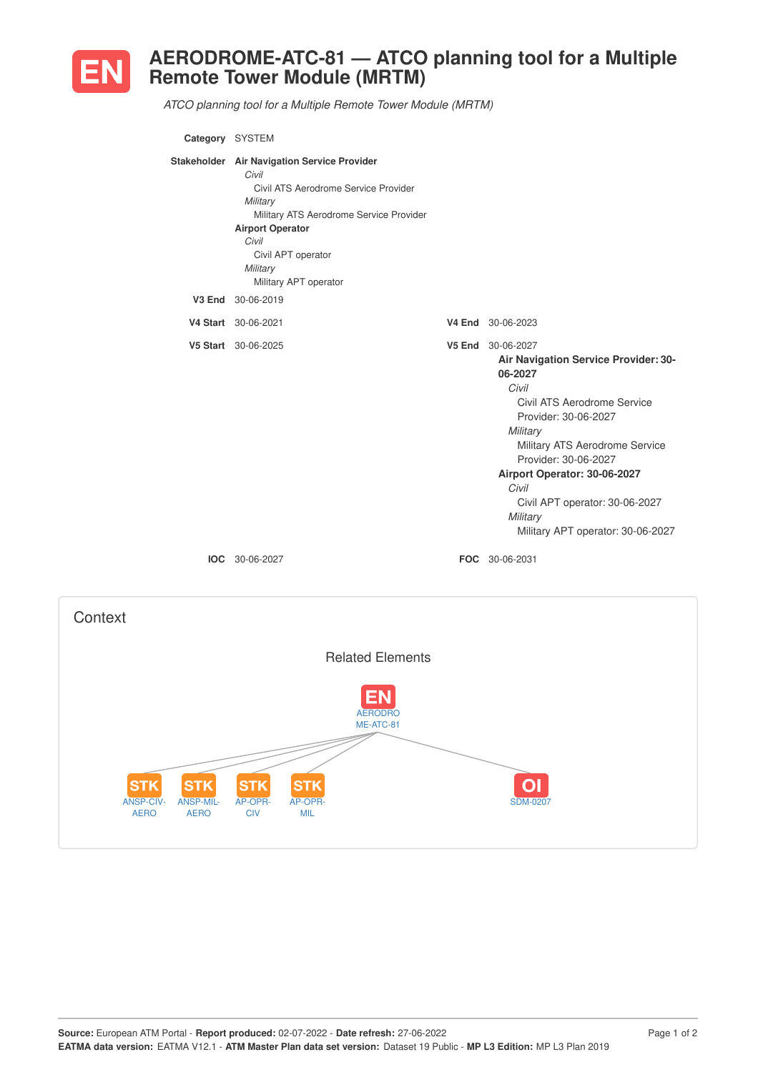

## **AERODROME-ATC-81 — ATCO planning tool for a Multiple Remote Tower Module (MRTM)**

*ATCO planning tool for a Multiple Remote Tower Module (MRTM)*

| Category SYSTEM |                                                                                                                                                                                                                                                    |                                                                                                                                                                                                                                                                                                                                        |
|-----------------|----------------------------------------------------------------------------------------------------------------------------------------------------------------------------------------------------------------------------------------------------|----------------------------------------------------------------------------------------------------------------------------------------------------------------------------------------------------------------------------------------------------------------------------------------------------------------------------------------|
|                 | Stakeholder Air Navigation Service Provider<br>Civil<br>Civil ATS Aerodrome Service Provider<br>Military<br>Military ATS Aerodrome Service Provider<br><b>Airport Operator</b><br>Civil<br>Civil APT operator<br>Military<br>Military APT operator |                                                                                                                                                                                                                                                                                                                                        |
|                 | V3 End 30-06-2019                                                                                                                                                                                                                                  |                                                                                                                                                                                                                                                                                                                                        |
|                 | V4 Start 30-06-2021                                                                                                                                                                                                                                | V4 End 30-06-2023                                                                                                                                                                                                                                                                                                                      |
|                 | V5 Start 30-06-2025                                                                                                                                                                                                                                | V5 End 30-06-2027<br>Air Navigation Service Provider: 30-<br>06-2027<br>Civil<br>Civil ATS Aerodrome Service<br>Provider: 30-06-2027<br>Military<br>Military ATS Aerodrome Service<br>Provider: 30-06-2027<br>Airport Operator: 30-06-2027<br>Civil<br>Civil APT operator: 30-06-2027<br>Military<br>Military APT operator: 30-06-2027 |
|                 | <b>IOC</b> 30-06-2027                                                                                                                                                                                                                              | FOC 30-06-2031                                                                                                                                                                                                                                                                                                                         |